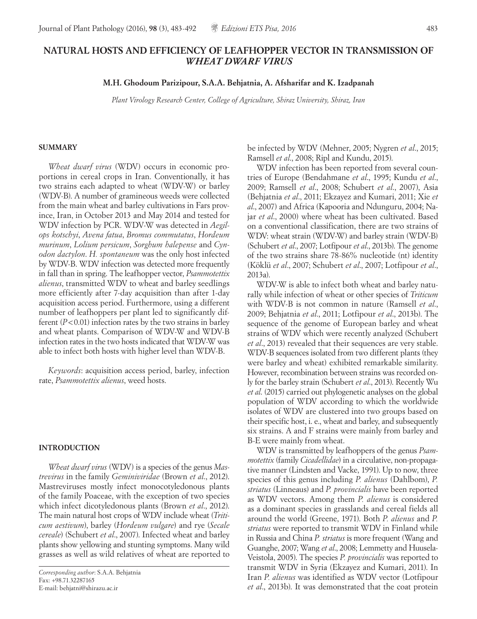# **NATURAL HOSTS AND EFFICIENCY OF LEAFHOPPER VECTOR IN TRANSMISSION OF** *WHEAT DWARF VIRUS*

**M.H. Ghodoum Parizipour, S.A.A. Behjatnia, A. Afsharifar and K. Izadpanah**

*Plant Virology Research Center, College of Agriculture, Shiraz University, Shiraz, Iran*

#### **SUMMARY**

*Wheat dwarf virus* (WDV) occurs in economic proportions in cereal crops in Iran. Conventionally, it has two strains each adapted to wheat (WDV-W) or barley (WDV-B). A number of gramineous weeds were collected from the main wheat and barley cultivations in Fars province, Iran, in October 2013 and May 2014 and tested for WDV infection by PCR. WDV-W was detected in *Aegilops kotschyi*, *Avena fatua*, *Bromus commutatus*, *Hordeum murinum*, *Lolium persicum*, *Sorghum halepense* and *Cynodon dactylon*. *H. spontaneum* was the only host infected by WDV-B. WDV infection was detected more frequently in fall than in spring. The leafhopper vector, *Psammotettix alienus*, transmitted WDV to wheat and barley seedlings more efficiently after 7-day acquisition than after 1-day acquisition access period. Furthermore, using a different number of leafhoppers per plant led to significantly different  $(P<0.01)$  infection rates by the two strains in barley and wheat plants. Comparison of WDV-W and WDV-B infection rates in the two hosts indicated that WDV-W was able to infect both hosts with higher level than WDV-B.

*Keywords*: acquisition access period, barley, infection rate, *Psammotettix alienus*, weed hosts.

#### **INTRODUCTION**

*Wheat dwarf virus* (WDV) is a species of the genus *Mastrevirus* in the family *Geminiviridae* (Brown *et al*., 2012). Mastreviruses mostly infect monocotyledonous plants of the family Poaceae, with the exception of two species which infect dicotyledonous plants (Brown *et al*., 2012). The main natural host crops of WDV include wheat (*Triticum aestivum*), barley (*Hordeum vulgare*) and rye (*Secale cereale*) (Schubert *et al*., 2007). Infected wheat and barley plants show yellowing and stunting symptoms. Many wild grasses as well as wild relatives of wheat are reported to be infected by WDV (Mehner, 2005; Nygren *et al*., 2015; Ramsell *et al*., 2008; Ripl and Kundu, 2015).

WDV infection has been reported from several countries of Europe (Bendahmane *et al*., 1995; Kundu *et al*., 2009; Ramsell *et al*., 2008; Schubert *et al*., 2007), Asia (Behjatnia *et al*., 2011; Ekzayez and Kumari, 2011; Xie *et al*., 2007) and Africa (Kapooria and Ndunguru, 2004; Najar *et al*., 2000) where wheat has been cultivated. Based on a conventional classification, there are two strains of WDV: wheat strain (WDV-W) and barley strain (WDV-B) (Schubert *et al*., 2007; Lotfipour *et al*., 2013b). The genome of the two strains share 78-86% nucleotide (nt) identity (Köklü *et al*., 2007; Schubert *et al*., 2007; Lotfipour *et al*., 2013a).

WDV-W is able to infect both wheat and barley naturally while infection of wheat or other species of *Triticum*  with WDV-B is not common in nature (Ramsell *et al*., 2009; Behjatnia *et al*., 2011; Lotfipour *et al*., 2013b). The sequence of the genome of European barley and wheat strains of WDV which were recently analyzed (Schubert *et al*., 2013) revealed that their sequences are very stable. WDV-B sequences isolated from two different plants (they were barley and wheat) exhibited remarkable similarity. However, recombination between strains was recorded only for the barley strain (Schubert *et al*., 2013). Recently Wu *et al*. (2015) carried out phylogenetic analyses on the global population of WDV according to which the worldwide isolates of WDV are clustered into two groups based on their specific host, i. e., wheat and barley, and subsequently six strains. A and F strains were mainly from barley and B-E were mainly from wheat.

WDV is transmitted by leafhoppers of the genus *Psammotettix* (family *Cicadellidae*) in a circulative, non-propagative manner (Lindsten and Vacke, 1991). Up to now, three species of this genus including *P. alienus* (Dahlbom), *P. striatus* (Linneaus) and *P. provincialis* have been reported as WDV vectors. Among them *P. alienus* is considered as a dominant species in grasslands and cereal fields all around the world (Greene, 1971). Both *P. alienus* and *P. striatus* were reported to transmit WDV in Finland while in Russia and China *P. striatus* is more frequent (Wang and Guanghe, 2007; Wang *et al*., 2008; Lemmetty and Huusela-Veistola, 2005). The species *P. provincialis* was reported to transmit WDV in Syria (Ekzayez and Kumari, 2011). In Iran *P. alienus* was identified as WDV vector (Lotfipour *et al*., 2013b). It was demonstrated that the coat protein

*Corresponding author*: S.A.A. Behjatnia Fax: +98.71.32287165 E-mail: behjatni@shirazu.ac.ir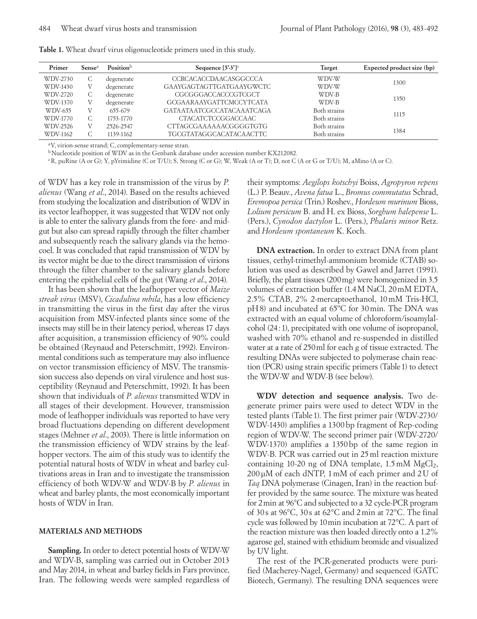| Primer   | Sense <sup>a</sup> | Position <sup>b</sup> | Sequence $[5'3']^c$            | Target       | Expected product size (bp) |  |
|----------|--------------------|-----------------------|--------------------------------|--------------|----------------------------|--|
| WDV-2730 | C                  | degenerate            | CCRCACACCDA ACASGGCCCA         | WDV-W        | 1300                       |  |
| WDV-1430 | V                  | degenerate            | GAAYGAGTAGTTGATGAAYGWCTC       | WDV-W        |                            |  |
| WDV-2720 | С                  | degenerate            | CGCGGGACCACCCGTCGCT            | WDV-B        | 1350                       |  |
| WDV-1370 | V                  | degenerate            | <b>GCGAARAAYGATTCMCCYTCATA</b> | WDV-B        |                            |  |
| WDV-655  | V                  | 655-679               | GATA ATA ATCGCCATACA A ATCAGA  | Both strains |                            |  |
| WDV-1770 | C.                 | 1753-1770             | <b>CTACATCTCCGGACCAAC</b>      | Both strains | 1115                       |  |
| WDV-2526 | V                  | 2526-2547             | CTTAGCGAAAAAACGGGGTGTG         | Both strains |                            |  |
| WDV-1162 |                    | 1139-1162             | TGCGTATAGGCACATACAACTTC        | Both strains | 1384                       |  |

**Table 1.** Wheat dwarf virus oligonucleotide primers used in this study.

aV, virion-sense strand; C, complementary-sense stran.

<sup>b</sup>Nucleotide position of WDV as in the Genbank database under accession number KX212082.

cR, puRine (A or G); Y, pYrimidine (C or T/U); S, Strong (C or G); W, Weak (A or T); D, not C (A or G or T/U); M, aMino (A or C).

of WDV has a key role in transmission of the virus by *P. alienus* (Wang *et al*., 2014). Based on the results achieved from studying the localization and distribution of WDV in its vector leafhopper, it was suggested that WDV not only is able to enter the salivary glands from the fore- and midgut but also can spread rapidly through the filter chamber and subsequently reach the salivary glands via the hemocoel. It was concluded that rapid transmission of WDV by its vector might be due to the direct transmission of virions through the filter chamber to the salivary glands before entering the epithelial cells of the gut (Wang *et al*., 2014).

It has been shown that the leafhopper vector of *Maize streak virus* (MSV), *Cicadulina mbila*, has a low efficiency in transmitting the virus in the first day after the virus acquisition from MSV-infected plants since some of the insects may still be in their latency period, whereas 17 days after acquisition, a transmission efficiency of 90% could be obtained (Reynaud and Peterschmitt, 1992). Environmental conditions such as temperature may also influence on vector transmission efficiency of MSV. The transmission success also depends on viral virulence and host susceptibility (Reynaud and Peterschmitt, 1992). It has been shown that individuals of *P. alienus* transmitted WDV in all stages of their development. However, transmission mode of leafhopper individuals was reported to have very broad fluctuations depending on different development stages (Mehner *et al*., 2003). There is little information on the transmission efficiency of WDV strains by the leafhopper vectors. The aim of this study was to identify the potential natural hosts of WDV in wheat and barley cultivations areas in Iran and to investigate the transmission efficiency of both WDV-W and WDV-B by *P. alienus* in wheat and barley plants, the most economically important hosts of WDV in Iran.

#### **MATERIALS AND METHODS**

**Sampling.** In order to detect potential hosts of WDV-W and WDV-B, sampling was carried out in October 2013 and May 2014, in wheat and barley fields in Fars province, Iran. The following weeds were sampled regardless of

their symptoms: *Aegilops kotschyi* Boiss, *Agropyron repens*  (L.) P. Beauv*.*, *Avena fatua* L., *Bromus commutatus* Schrad, *Eremopoa persica* (Trin.) Roshev., *Hordeum murinum* Bioss, *Lolium persicum* B. and H. ex Bioss, *Sorghum halepense* L. (Pers.), *Cynodon dactylon* L. (Pers.), *Phalaris minor* Retz. and *Hordeum spontaneum* K. Koch.

**DNA extraction.** In order to extract DNA from plant tissues, cethyl-trimethyl-ammonium bromide (CTAB) solution was used as described by Gawel and Jarret (1991). Briefly, the plant tissues (200mg) were homogenized in 3.5 volumes of extraction buffer (1.4M NaCl, 20mM EDTA, 2.5% CTAB, 2% 2-mercaptoethanol, 10mM Tris-HCl, pH8) and incubated at 65ºC for 30min. The DNA was extracted with an equal volume of chloroform/isoamylalcohol (24:1), precipitated with one volume of isopropanol, washed with 70% ethanol and re-suspended in distilled water at a rate of 250ml for each g of tissue extracted. The resulting DNAs were subjected to polymerase chain reaction (PCR) using strain specific primers (Table1) to detect the WDV-W and WDV-B (see below).

**WDV detection and sequence analysis.** Two degenerate primer pairs were used to detect WDV in the tested plants (Table1). The first primer pair (WDV-2730/ WDV-1430) amplifies a 1300bp fragment of Rep-coding region of WDV-W. The second primer pair (WDV-2720/ WDV-1370) amplifies a 1350bp of the same region in WDV-B. PCR was carried out in 25ml reaction mixture containing 10-20 ng of DNA template,  $1.5 \text{ mM } MgCl_2$ , 200µM of each dNTP, 1mM of each primer and 2U of *Taq* DNA polymerase (Cinagen, Iran) in the reaction buffer provided by the same source. The mixture was heated for 2min at 96°C and subjected to a 32 cycle-PCR program of 30 s at 96°C, 30 s at 62°C and 2min at 72°C. The final cycle was followed by 10min incubation at 72°C. A part of the reaction mixture was then loaded directly onto a 1.2% agarose gel, stained with ethidium bromide and visualized by UV light.

The rest of the PCR-generated products were purified (Macherey-Nagel, Germany) and sequenced (GATC Biotech, Germany). The resulting DNA sequences were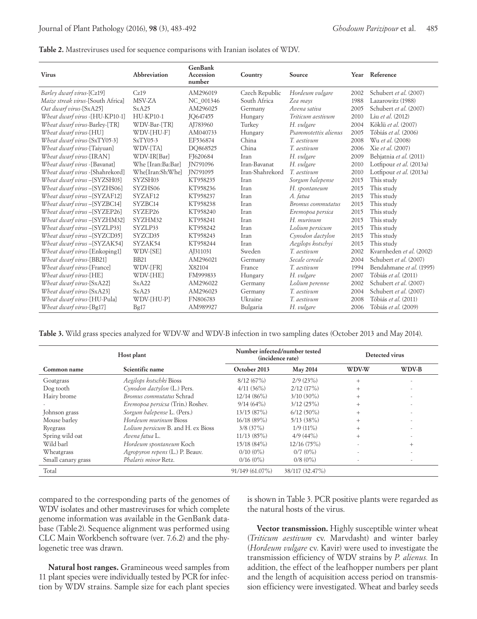**Table 2.** Mastreviruses used for sequence comparisons with Iranian isolates of WDV.

| <b>Virus</b>                        | Abbreviation      | GenBank<br>Accession<br>number | Country         | Source               |      | Year Reference           |  |
|-------------------------------------|-------------------|--------------------------------|-----------------|----------------------|------|--------------------------|--|
| Barley dwarf virus-[Cz19]           | Cz19              | AM296019                       | Czech Republic  | Hordeum vulgare      | 2002 | Schubert et al. (2007)   |  |
| Maize streak virus-[South Africa]   | MSV-ZA            | NC 001346                      | South Africa    | Zea mays             | 1988 | Lazarowitz (1988)        |  |
| Oat dwarf virus-[SxA25]             | SxA25             | AM296025                       | Germany         | Avena sativa         | 2005 | Schubert et al. (2007)   |  |
| Wheat dwarf virus -[HU-KP10-1]      | <b>HU-KP10-1</b>  | <b>IO647455</b>                | Hungary         | Triticum aestivum    | 2010 | Liu et al. (2012)        |  |
| Wheat dwarf virus-Barley-[TR]       | WDV-Bar-[TR]      | AJ783960                       | Turkey          | H. vulgare           | 2004 | Köklü et al. (2007)      |  |
| Wheat dwarf virus-[HU]              | WDV-[HU-F]        | AM040733                       | Hungary         | Psammotettix alienus | 2005 | Tóbiás et al. (2006)     |  |
| Wheat dwarf virus-[SxTY05-3]        | $SxTY05-3$        | EF536874                       | China           | T. aestivum          | 2008 | Wu et al. (2008)         |  |
| <i>Wheat dwarf virus</i> -[Taiyuan] | WDV-[TA]          | DO868525                       | China           | T. aestivum          | 2006 | Xie et al. (2007)        |  |
| Wheat dwarf virus-[IRAN]            | WDV-IR[Bar]       | FJ620684                       | Iran            | H. vulgare           | 2009 | Behjatnia et al. (2011)  |  |
| Wheat dwarf virus -[Bavanat]        | Whe [Iran:Ba:Bar] | <b>IN791096</b>                | Iran-Bayanat    | H. vulgare           | 2010 | Lotfipour et al. (2013a) |  |
| Wheat dwarf virus -[Shahrekord]     | Whe[Iran:Sh:Whe]  | IN791095                       | Iran-Shahrekord | T. aestivum          | 2010 | Lotfipour et al. (2013a) |  |
| Wheat dwarf virus -[SYZSH03]        | SYZSH03           | KT958235                       | Iran            | Sorgum halepense     | 2015 | This study               |  |
| Wheat dwarf virus -[SYZHS06]        | SYZHS06           | KT958236                       | Iran            | H. spontaneum        | 2015 | This study               |  |
| Wheat dwarf virus - [SYZAF12]       | SYZAF12           | KT958237                       | Iran            | A. fatua             | 2015 | This study               |  |
| Wheat dwarf virus -[SYZBC14]        | SYZBC14           | KT958238                       | Iran            | Bromus commutatus    | 2015 | This study               |  |
| Wheat dwarf virus -[SYZEP26]        | SYZEP26           | KT958240                       | Iran            | Eremopoa persica     | 2015 | This study               |  |
| Wheat dwarf virus -[SYZHM32]        | SYZHM32           | KT958241                       | Iran            | H. murinum           | 2015 | This study               |  |
| Wheat dwarf virus -[SYZLP33]        | SYZLP33           | KT958242                       | Iran            | Lolium persicum      | 2015 | This study               |  |
| Wheat dwarf virus -[SYZCD35]        | SYZCD35           | KT958243                       | Iran            | Cynodon dactylon     | 2015 | This study               |  |
| Wheat dwarf virus - [SYZAK54]       | SYZAK54           | KT958244                       | Iran            | Aegilops kotschyi    | 2015 | This study               |  |
| Wheat dwarf virus-[Enkoping1]       | WDV-[SE]          | AJ311031                       | Sweden          | T. aestivum          | 2002 | Kvarnheden et al. (2002) |  |
| Wheat dwarf virus-[BB21]            | <b>BB21</b>       | AM296021                       | Germany         | Secale cereale       | 2004 | Schubert et al. (2007)   |  |
| Wheat dwarf virus-[France]          | WDV-[FR]          | X82104                         | France          | T. aestivum          | 1994 | Bendahmane et al. (1995) |  |
| Wheat dwarf virus-[HE]              | WDV-[HE]          | FM999833                       | Hungary         | H. vulgare           | 2007 | Tóbiás et al. (2011)     |  |
| Wheat dwarf virus-[SxA22]           | SxA22             | AM296022                       | Germany         | Lolium perenne       | 2002 | Schubert et al. (2007)   |  |
| Wheat dwarf virus-[SxA23]           | SxA23             | AM296023                       | Germany         | T. aestivum          | 2004 | Schubert et al. (2007)   |  |
| Wheat dwarf virus-[HU-Pula]         | WDV-[HU-P]        | FN806783                       | Ukraine         | T. aestivum          | 2008 | Tóbiás et al. (2011)     |  |
| Wheat dwarf virus-[Bg17]            | Bg17              | AM989927                       | Bulgaria        | H. vulgare           | 2006 | Tóbiás et al. (2009)     |  |

**Table 3.** Wild grass species analyzed for WDV-W and WDV-B infection in two sampling dates (October 2013 and May 2014).

| Host plant         |                                           | Number infected/number tested<br>(incidence rate) |                 | Detected virus |                          |
|--------------------|-------------------------------------------|---------------------------------------------------|-----------------|----------------|--------------------------|
| Common name        | Scientific name                           | October 2013                                      | <b>May 2014</b> | WDV-W          | WDV-B                    |
| Goatgrass          | Aegilops kotschki Bioss                   | 8/12(67%)                                         | 2/9(23%)        | $+$            |                          |
| Dog tooth          | Cynodon dactylon (L.) Pers.               | 4/11(36%)                                         | $2/12$ (17%)    | $^{+}$         |                          |
| Hairy brome        | Bromus commutatus Schrad                  | 12/14(86%)                                        | $3/10(30\%)$    | $^{+}$         |                          |
|                    | Eremopoa persicsa (Trin.) Roshev.         | 9/14(64%)                                         | 3/12(25%)       | $^{+}$         |                          |
| Johnson grass      | Sorgum halepense L. (Pers.)               | 13/15(87%)                                        | $6/12(50\%)$    | $^{+}$         |                          |
| Mouse barley       | Hordeum murinum Bioss                     | 16/18(89%)                                        | $5/13$ (38%)    | $+$            |                          |
| Ryegrass           | <i>Lolium persicum</i> B. and H. ex Bioss | $3/8$ (37%)                                       | $1/9(11\%)$     | $^{+}$         |                          |
| Spring wild oat    | Avena fatua L.                            | $11/13$ (85%)                                     | $4/9(44\%)$     | $^{+}$         |                          |
| Wild barl          | Hordeum spontaneum Koch                   | 15/18 (84%)                                       | 12/16(75%)      |                | $^{+}$                   |
| Wheatgrass         | Agropyron repens (L.) P. Beauv.           | $0/10(0\%)$                                       | $0/7$ $(0\%)$   |                |                          |
| Small canary grass | Phalaris minor Retz.                      | 0/16(0%)                                          | $0/8(0\%)$      |                | $\overline{\phantom{a}}$ |
| Total              |                                           | $91/149(61.07\%)$                                 | 38/117 (32.47%) |                |                          |

compared to the corresponding parts of the genomes of WDV isolates and other mastreviruses for which complete genome information was available in the GenBank database (Table 2). Sequence alignment was performed using CLC Main Workbench software (ver. 7.6.2) and the phylogenetic tree was drawn.

**Natural host ranges.** Gramineous weed samples from 11 plant species were individually tested by PCR for infection by WDV strains. Sample size for each plant species is shown in Table 3. PCR positive plants were regarded as the natural hosts of the virus.

**Vector transmission.** Highly susceptible winter wheat (*Triticum aestivum* cv. Marvdasht) and winter barley (*Hordeum vulgare* cv. Kavir) were used to investigate the transmission efficiency of WDV strains by *P. alienus.* In addition, the effect of the leafhopper numbers per plant and the length of acquisition access period on transmission efficiency were investigated. Wheat and barley seeds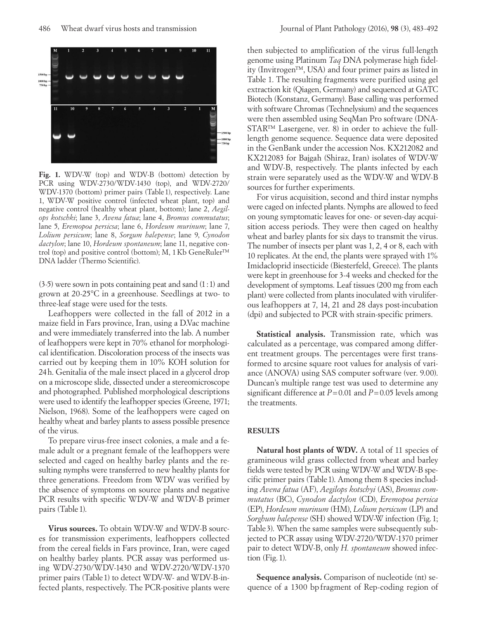

**Fig. 1.** WDV-W (top) and WDV-B (bottom) detection by PCR using WDV-2730/WDV-1430 (top), and WDV-2720/ WDV-1370 (bottom) primer pairs (Table 1), respectively. Lane 1, WDV-W positive control (infected wheat plant, top) and negative control (healthy wheat plant, bottom); lane 2, *Aegilops kotschki*; lane 3, *Avena fatua*; lane 4, *Bromus commutatus*; lane 5, *Eremopoa persicsa*; lane 6, *Hordeum murinum*; lane 7, *Lolium persicum*; lane 8, *Sorgum halepense*; lane 9, *Cynodon dactylon*; lane 10, *Hordeum spontaneum*; lane 11, negative control (top) and positive control (bottom); M, 1Kb GeneRuler™ DNA ladder (Thermo Scientific).

(3-5) were sown in pots containing peat and sand (1:1) and grown at 20-25°C in a greenhouse. Seedlings at two- to three-leaf stage were used for the tests.

Leafhoppers were collected in the fall of 2012 in a maize field in Fars province, Iran, using a D.Vac machine and were immediately transferred into the lab. A number of leafhoppers were kept in 70% ethanol for morphological identification. Discoloration process of the insects was carried out by keeping them in 10% KOH solution for 24h. Genitalia of the male insect placed in a glycerol drop on a microscope slide, dissected under a stereomicroscope and photographed. Published morphological descriptions were used to identify the leafhopper species (Greene, 1971; Nielson, 1968). Some of the leafhoppers were caged on healthy wheat and barley plants to assess possible presence of the virus.

To prepare virus-free insect colonies, a male and a female adult or a pregnant female of the leafhoppers were selected and caged on healthy barley plants and the resulting nymphs were transferred to new healthy plants for three generations. Freedom from WDV was verified by the absence of symptoms on source plants and negative PCR results with specific WDV-W and WDV-B primer pairs (Table 1).

**Virus sources.** To obtain WDV-W and WDV-B sources for transmission experiments, leafhoppers collected from the cereal fields in Fars province, Iran, were caged on healthy barley plants. PCR assay was performed using WDV-2730/WDV-1430 and WDV-2720/WDV-1370 primer pairs (Table1) to detect WDV-W- and WDV-B-infected plants, respectively. The PCR-positive plants were

then subjected to amplification of the virus full-length genome using Platinum *Taq* DNA polymerase high fidelity (Invitrogen™, USA) and four primer pairs as listed in Table 1. The resulting fragments were purified using gel extraction kit (Qiagen, Germany) and sequenced at GATC Biotech (Konstanz, Germany). Base calling was performed with software Chromas (Technelysium) and the sequences were then assembled using SeqMan Pro software (DNA-STAR™ Lasergene, ver. 8) in order to achieve the fulllength genome sequence. Sequence data were deposited in the GenBank under the accession Nos. KX212082 and KX212083 for Bajgah (Shiraz, Iran) isolates of WDV-W and WDV-B, respectively. The plants infected by each strain were separately used as the WDV-W and WDV-B sources for further experiments.

For virus acquisition, second and third instar nymphs were caged on infected plants. Nymphs are allowed to feed on young symptomatic leaves for one- or seven-day acquisition access periods. They were then caged on healthy wheat and barley plants for six days to transmit the virus. The number of insects per plant was 1, 2, 4 or 8, each with 10 replicates. At the end, the plants were sprayed with 1% Imidacloprid insecticide (Biesterfeld, Greece). The plants were kept in greenhouse for 3-4 weeks and checked for the development of symptoms. Leaf tissues (200 mg from each plant) were collected from plants inoculated with viruliferous leafhoppers at 7, 14, 21 and 28 days post-incubation (dpi) and subjected to PCR with strain-specific primers.

**Statistical analysis.** Transmission rate, which was calculated as a percentage, was compared among different treatment groups. The percentages were first transformed to arcsine square root values for analysis of variance (ANOVA) using SAS computer software (ver. 9.00). Duncan's multiple range test was used to determine any significant difference at *P*=0.01 and *P*=0.05 levels among the treatments.

#### **RESULTS**

**Natural host plants of WDV.** A total of 11 species of gramineous wild grass collected from wheat and barley fields were tested by PCR using WDV-W and WDV-B specific primer pairs (Table1). Among them 8 species including *Avena fatua* (AF), *Aegilops kotschyi* (AS), *Bromus commutatus* (BC), *Cynodon dactylon* (CD), *Eremopoa persica* (EP), *Hordeum murinum* (HM), *Lolium persicum* (LP) and *Sorghum halepense* (SH) showed WDV-W infection (Fig.1; Table3). When the same samples were subsequently subjected to PCR assay using WDV-2720/WDV-1370 primer pair to detect WDV-B, only *H. spontaneum* showed infection (Fig.1).

**Sequence analysis.** Comparison of nucleotide (nt) sequence of a 1300 bp fragment of Rep-coding region of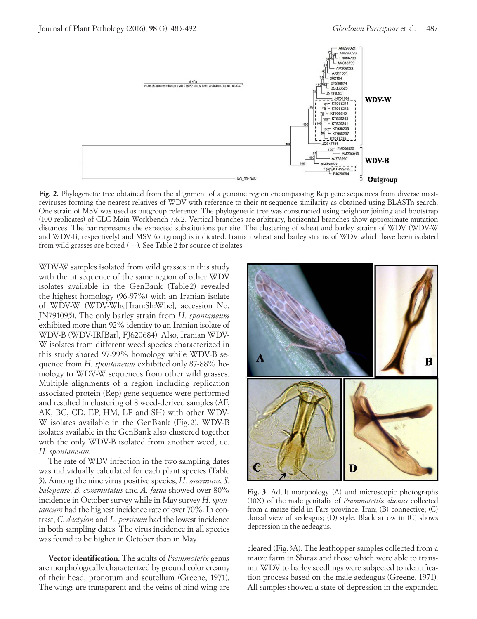

**Fig. 2.** Phylogenetic tree obtained from the alignment of a genome region encompassing Rep gene sequences from diverse mastreviruses forming the nearest relatives of WDV with reference to their nt sequence similarity as obtained using BLASTn search. One strain of MSV was used as outgroup reference. The phylogenetic tree was constructed using neighbor joining and bootstrap (100 replicates) of CLC Main Workbench 7.6.2. Vertical branches are arbitrary, horizontal branches show approximate mutation distances. The bar represents the expected substitutions per site. The clustering of wheat and barley strains of WDV (WDV-W and WDV-B, respectively) and MSV (outgroup) is indicated. Iranian wheat and barley strains of WDV which have been isolated from wild grasses are boxed (**----**). See Table 2 for source of isolates.

WDV-W samples isolated from wild grasses in this study with the nt sequence of the same region of other WDV isolates available in the GenBank (Table 2) revealed the highest homology (96-97%) with an Iranian isolate of WDV-W (WDV-Whe[Iran:Sh:Whe], accession No. JN791095). The only barley strain from *H. spontaneum*  exhibited more than 92% identity to an Iranian isolate of WDV-B (WDV-IR[Bar], FJ620684). Also, Iranian WDV-W isolates from different weed species characterized in this study shared 97-99% homology while WDV-B sequence from *H. spontaneum* exhibited only 87-88% homology to WDV-W sequences from other wild grasses. Multiple alignments of a region including replication associated protein (Rep) gene sequence were performed and resulted in clustering of 8 weed-derived samples (AF, AK, BC, CD, EP, HM, LP and SH) with other WDV-W isolates available in the GenBank (Fig. 2). WDV-B isolates available in the GenBank also clustered together with the only WDV-B isolated from another weed, i.e. *H. spontaneum*.

The rate of WDV infection in the two sampling dates was individually calculated for each plant species (Table 3). Among the nine virus positive species, *H. murinum*, *S. halepense*, *B. commutatus* and *A. fatua* showed over 80% incidence in October survey while in May survey *H. spontaneum* had the highest incidence rate of over 70%. In contrast, *C. dactylon* and *L. persicum* had the lowest incidence in both sampling dates. The virus incidence in all species was found to be higher in October than in May.

**Vector identification.** The adults of *Psammotetix* genus are morphologically characterized by ground color creamy of their head, pronotum and scutellum (Greene, 1971). The wings are transparent and the veins of hind wing are



**Fig. 3.** Adult morphology (A) and microscopic photographs (10X) of the male genitalia of *Psammotettix alienus* collected from a maize field in Fars province, Iran; (B) connective; (C) dorsal view of aedeagus; (D) style. Black arrow in (C) shows depression in the aedeagus.

cleared (Fig.3A). The leafhopper samples collected from a maize farm in Shiraz and those which were able to transmit WDV to barley seedlings were subjected to identification process based on the male aedeagus (Greene, 1971). All samples showed a state of depression in the expanded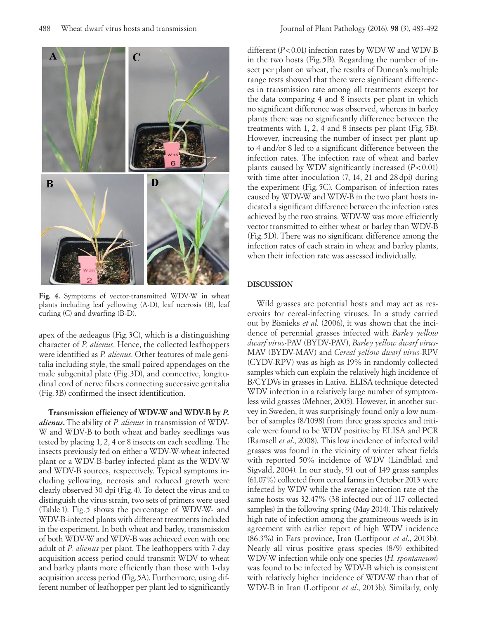

Fig. 4. Symptoms of vector-transmitted WDV-W in wheat plants including leaf yellowing (A-D), leaf necrosis (B), leaf curling (C) and dwarfing (B-D).

apex of the aedeagus (Fig. 3C), which is a distinguishing character of *P. alienus*. Hence, the collected leafhoppers were identified as *P. alienus*. Other features of male genitalia including style, the small paired appendages on the male subgenital plate (Fig. 3D), and connective, longitudinal cord of nerve fibers connecting successive genitalia (Fig.3B) confirmed the insect identification.

**Transmission efficiency of WDV-W and WDV-B by** *P. alienus***.** The ability of *P. alienus* in transmission of WDV-W and WDV-B to both wheat and barley seedlings was tested by placing 1, 2, 4 or 8 insects on each seedling. The insects previously fed on either a WDV-W-wheat infected plant or a WDV-B-barley infected plant as the WDV-W and WDV-B sources, respectively. Typical symptoms including yellowing, necrosis and reduced growth were clearly observed 30 dpi (Fig.4). To detect the virus and to distinguish the virus strain, two sets of primers were used (Table 1). Fig. 5 shows the percentage of WDV-W- and WDV-B-infected plants with different treatments included in the experiment. In both wheat and barley, transmission of both WDV-W and WDV-B was achieved even with one adult of *P. alienus* per plant. The leafhoppers with 7-day acquisition access period could transmit WDV to wheat and barley plants more efficiently than those with 1-day acquisition access period (Fig.5A). Furthermore, using different number of leafhopper per plant led to significantly

different (*P*<0.01) infection rates by WDV-W and WDV-B in the two hosts (Fig. 5B). Regarding the number of insect per plant on wheat, the results of Duncan's multiple range tests showed that there were significant differences in transmission rate among all treatments except for the data comparing 4 and 8 insects per plant in which no significant difference was observed, whereas in barley plants there was no significantly difference between the treatments with 1, 2, 4 and 8 insects per plant (Fig. 5B). However, increasing the number of insect per plant up to 4 and/or 8 led to a significant difference between the infection rates. The infection rate of wheat and barley plants caused by WDV significantly increased (*P*<0.01) with time after inoculation  $(7, 14, 21, 28 \text{ dpi})$  during the experiment (Fig. 5C). Comparison of infection rates caused by WDV-W and WDV-B in the two plant hosts indicated a significant difference between the infection rates achieved by the two strains. WDV-W was more efficiently vector transmitted to either wheat or barley than WDV-B (Fig. 5D). There was no significant difference among the infection rates of each strain in wheat and barley plants, when their infection rate was assessed individually.

# **DISCUSSION**

Wild grasses are potential hosts and may act as reservoirs for cereal-infecting viruses. In a study carried out by Bisnieks *et al*. (2006), it was shown that the incidence of perennial grasses infected with *Barley yellow dwarf virus*-PAV (BYDV-PAV), *Barley yellow dwarf virus*-MAV (BYDV-MAV) and *Cereal yellow dwarf virus*-RPV (CYDV-RPV) was as high as 19% in randomly collected samples which can explain the relatively high incidence of B/CYDVs in grasses in Lativa. ELISA technique detected WDV infection in a relatively large number of symptomless wild grasses (Mehner, 2005). However, in another survey in Sweden, it was surprisingly found only a low number of samples (8/1098) from three grass species and triticale were found to be WDV positive by ELISA and PCR (Ramsell *et al*., 2008). This low incidence of infected wild grasses was found in the vicinity of winter wheat fields with reported 50% incidence of WDV (Lindblad and Sigvald, 2004). In our study, 91 out of 149 grass samples (61.07%) collected from cereal farms in October 2013 were infected by WDV while the average infection rate of the same hosts was 32.47% (38 infected out of 117 collected samples) in the following spring (May 2014). This relatively high rate of infection among the gramineous weeds is in agreement with earlier report of high WDV incidence (86.3%) in Fars province, Iran (Lotfipour *et al*., 2013b). Nearly all virus positive grass species (8/9) exhibited WDV-W infection while only one species (*H. spontaneum*) was found to be infected by WDV-B which is consistent with relatively higher incidence of WDV-W than that of WDV-B in Iran (Lotfipour *et al*., 2013b). Similarly, only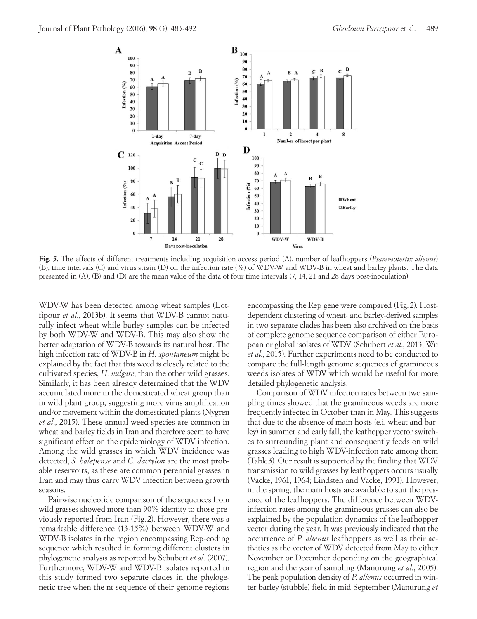

**Fig. 5.** The effects of different treatments including acquisition access period (A), number of leafhoppers (*Psammotettix alienus*) (B), time intervals (C) and virus strain (D) on the infection rate (%) of WDV-W and WDV-B in wheat and barley plants. The data presented in (A), (B) and (D) are the mean value of the data of four time intervals (7, 14, 21 and 28 days post-inoculation).

WDV-W has been detected among wheat samples (Lotfipour *et al*., 2013b). It seems that WDV-B cannot naturally infect wheat while barley samples can be infected by both WDV-W and WDV-B. This may also show the better adaptation of WDV-B towards its natural host. The high infection rate of WDV-B in *H. spontaneum* might be explained by the fact that this weed is closely related to the cultivated species, *H. vulgare*, than the other wild grasses. Similarly, it has been already determined that the WDV accumulated more in the domesticated wheat group than in wild plant group, suggesting more virus amplification and/or movement within the domesticated plants (Nygren *et al*., 2015). These annual weed species are common in wheat and barley fields in Iran and therefore seem to have significant effect on the epidemiology of WDV infection. Among the wild grasses in which WDV incidence was detected, *S. halepense* and *C. dactylon* are the most probable reservoirs, as these are common perennial grasses in Iran and may thus carry WDV infection between growth seasons.

Pairwise nucleotide comparison of the sequences from wild grasses showed more than 90% identity to those previously reported from Iran (Fig. 2). However, there was a remarkable difference (13-15%) between WDV-W and WDV-B isolates in the region encompassing Rep-coding sequence which resulted in forming different clusters in phylogenetic analysis as reported by Schubert *et al*. (2007). Furthermore, WDV-W and WDV-B isolates reported in this study formed two separate clades in the phylogenetic tree when the nt sequence of their genome regions

encompassing the Rep gene were compared (Fig.2). Hostdependent clustering of wheat- and barley-derived samples in two separate clades has been also archived on the basis of complete genome sequence comparison of either European or global isolates of WDV (Schubert *et al*., 2013; Wu *et al*., 2015). Further experiments need to be conducted to compare the full-length genome sequences of gramineous weeds isolates of WDV which would be useful for more detailed phylogenetic analysis.

Comparison of WDV infection rates between two sampling times showed that the gramineous weeds are more frequently infected in October than in May. This suggests that due to the absence of main hosts (e.i. wheat and barley) in summer and early fall, the leafhopper vector switches to surrounding plant and consequently feeds on wild grasses leading to high WDV-infection rate among them (Table3). Our result is supported by the finding that WDV transmission to wild grasses by leafhoppers occurs usually (Vacke, 1961, 1964; Lindsten and Vacke, 1991). However, in the spring, the main hosts are available to suit the presence of the leafhoppers. The difference between WDVinfection rates among the gramineous grasses can also be explained by the population dynamics of the leafhopper vector during the year. It was previously indicated that the occurrence of *P. alienus* leafhoppers as well as their activities as the vector of WDV detected from May to either November or December depending on the geographical region and the year of sampling (Manurung *et al*., 2005). The peak population density of *P. alienus* occurred in winter barley (stubble) field in mid-September (Manurung *et*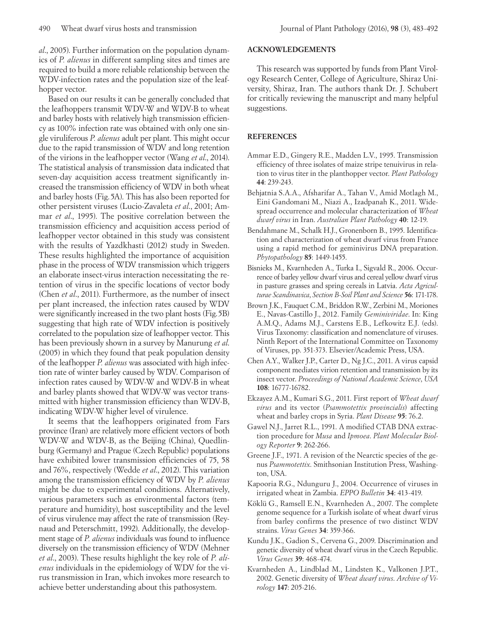*al*., 2005). Further information on the population dynamics of *P. alienus* in different sampling sites and times are required to build a more reliable relationship between the WDV-infection rates and the population size of the leafhopper vector.

Based on our results it can be generally concluded that the leafhoppers transmit WDV-W and WDV-B to wheat and barley hosts with relatively high transmission efficiency as 100% infection rate was obtained with only one single viruliferous *P. alienus* adult per plant. This might occur due to the rapid transmission of WDV and long retention of the virions in the leafhopper vector (Wang *et al*., 2014). The statistical analysis of transmission data indicated that seven-day acquisition access treatment significantly increased the transmission efficiency of WDV in both wheat and barley hosts (Fig.5A). This has also been reported for other persistent viruses (Lucio-Zavaleta *et al*., 2001; Ammar *et al*., 1995). The positive correlation between the transmission efficiency and acquisition access period of leafhopper vector obtained in this study was consistent with the results of Yazdkhasti (2012) study in Sweden. These results highlighted the importance of acquisition phase in the process of WDV transmission which triggers an elaborate insect-virus interaction necessitating the retention of virus in the specific locations of vector body (Chen *et al*., 2011). Furthermore, as the number of insect per plant increased, the infection rates caused by WDV were significantly increased in the two plant hosts (Fig.5B) suggesting that high rate of WDV infection is positively correlated to the population size of leafhopper vector. This has been previously shown in a survey by Manurung *et al*. (2005) in which they found that peak population density of the leafhopper *P. alienus* was associated with high infection rate of winter barley caused by WDV. Comparison of infection rates caused by WDV-W and WDV-B in wheat and barley plants showed that WDV-W was vector transmitted with higher transmission efficiency than WDV-B, indicating WDV-W higher level of virulence.

It seems that the leafhoppers originated from Fars province (Iran) are relatively more efficient vectors of both WDV-W and WDV-B, as the Beijing (China), Quedlinburg (Germany) and Prague (Czech Republic) populations have exhibited lower transmission efficiencies of 75, 58 and 76%, respectively (Wedde *et al*., 2012). This variation among the transmission efficiency of WDV by *P. alienus* might be due to experimental conditions. Alternatively, various parameters such as environmental factors (temperature and humidity), host susceptibility and the level of virus virulence may affect the rate of transmission (Reynaud and Peterschmitt, 1992). Additionally, the development stage of *P. alienus* individuals was found to influence diversely on the transmission efficiency of WDV (Mehner *et al*., 2003). These results highlight the key role of *P. alienus* individuals in the epidemiology of WDV for the virus transmission in Iran, which invokes more research to achieve better understanding about this pathosystem.

## **ACKNOWLEDGEMENTS**

This research was supported by funds from Plant Virology Research Center, College of Agriculture, Shiraz University, Shiraz, Iran. The authors thank Dr. J. Schubert for critically reviewing the manuscript and many helpful suggestions.

## **REFERENCES**

- Ammar E.D., Gingery R.E., Madden L.V., 1995. Transmission efficiency of three isolates of maize stripe tenuivirus in relation to virus titer in the planthopper vector. *Plant Pathology*  **44**: 239-243.
- Behjatnia S.A.A., Afsharifar A., Tahan V., Amid Motlagh M., Eini Gandomani M., Niazi A., Izadpanah K., 2011. Widespread occurrence and molecular characterization of *Wheat dwarf virus* in Iran. *Australian Plant Pathology* **40**: 12-19.
- Bendahmane M., Schalk H.J., Gronenborn B., 1995. Identification and characterization of wheat dwarf virus from France using a rapid method for geminivirus DNA preparation. *Phytopathology* **85**: 1449-1455.
- Bisnieks M., Kvarnheden A., Turka I., Sigvald R., 2006. Occurrence of barley yellow dwarf virus and cereal yellow dwarf virus in pasture grasses and spring cereals in Latvia. *Acta Agriculturae Scandinavica*, *Section B-Soil Plant and Science* **56**: 171-178.
- Brown J.K., Fauquet C.M., Briddon R.W., Zerbini M., Moriones E., Navas-Castillo J., 2012. Family *Geminiviridae*. In: King A.M.Q., Adams M.J., Carstens E.B., Lefkowitz E.J. (eds). Virus Taxonomy: classification and nomenclature of viruses. Ninth Report of the International Committee on Taxonomy of Viruses, pp. 351-373. Elsevier/Academic Press, USA.
- Chen A.Y., Walker J.P., Carter D., Ng J.C., 2011. A virus capsid component mediates virion retention and transmission by its insect vector. *Proceedings of National Academic Science*, *USA* **108**: 16777-16782.
- Ekzayez A.M., Kumari S.G., 2011. First report of *Wheat dwarf virus* and its vector (*Psammotettix provincialis*) affecting wheat and barley crops in Syria. *Plant Disease* **95**: 76.2.
- Gawel N.J., Jarret R.L., 1991. A modified CTAB DNA extraction procedure for *Musa* and *Ipmoea*. *Plant Molecular Biology Reporter* **9**: 262-266.
- Greene J.F., 1971. A revision of the Nearctic species of the genus *Psammotettix*. Smithsonian Institution Press, Washington, USA.
- Kapooria R.G., Ndunguru J., 2004. Occurrence of viruses in irrigated wheat in Zambia. *EPPO Bulletin* **34**: 413-419.
- Köklü G., Ramsell E.N., Kvarnheden A., 2007. The complete genome sequence for a Turkish isolate of wheat dwarf virus from barley confirms the presence of two distinct WDV strains. *Virus Genes* **34**: 359-366.
- Kundu J.K., Gadion S., Cervena G., 2009. Discrimination and genetic diversity of wheat dwarf virus in the Czech Republic. *Virus Genes* **39**: 468-474.
- Kvarnheden A., Lindblad M., Lindsten K., Valkonen J.P.T., 2002. Genetic diversity of *Wheat dwarf virus*. *Archive of Virology* **147**: 205-216.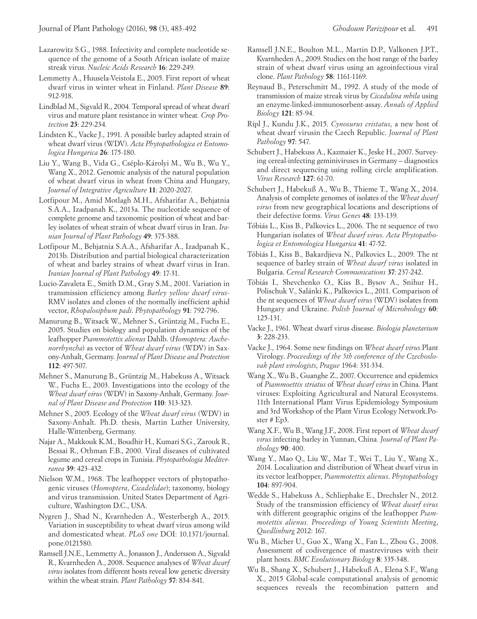- Lazarowitz S.G., 1988. Infectivity and complete nucleotide sequence of the genome of a South African isolate of maize streak virus. *Nucleic Acids Research* **16**: 229-249.
- Lemmetty A., Huusela-Veistola E., 2005. First report of wheat dwarf virus in winter wheat in Finland. *Plant Disease* **89**: 912-918.
- Lindblad M., Sigvald R., 2004*.* Temporal spread of wheat dwarf virus and mature plant resistance in winter wheat*. Crop Protection* **23**: 229-234*.*
- Lindsten K., Vacke J., 1991. A possible barley adapted strain of wheat dwarf virus (WDV). *Acta Phytopathologica et Entomologica Hungarica* **26**: 175-180.
- Liu Y., Wang B., Vida G., Cséplo-Károlyi M., Wu B., Wu Y., Wang X., 2012. Genomic analysis of the natural population of wheat dwarf virus in wheat from China and Hungary, *Journal of Integrative Agriculture* **11**: 2020-2027.
- Lotfipour M., Amid Motlagh M.H., Afsharifar A., Behjatnia S.A.A., Izadpanah K., 2013a. The nucleotide sequence of complete genome and taxonomic position of wheat and barley isolates of wheat strain of wheat dwarf virus in Iran. *Iranian Journal of Plant Pathology* **49**: 375-388.
- Lotfipour M., Behjatnia S.A.A., Afsharifar A., Izadpanah K., 2013b. Distribution and partial biological characterization of wheat and barley strains of wheat dwarf virus in Iran. *Iranian Journal of Plant Pathology* **49**: 17-31.
- Lucio-Zavaleta E., Smith D.M., Gray S.M., 2001. Variation in transmission efficiency among *Barley yellow dwarf virus*-RMV isolates and clones of the normally inefficient aphid vector, *Rhopalosiphum padi*. *Phytopathology* **91**: 792-796.
- Manurung B., Witsack W., Mehner S., Grüntzig M., Fuchs E., 2005. Studies on biology and population dynamics of the leafhopper *Psammotettix alienus* Dahlb. (*Homoptera: Auchenorrhyncha*) as vector of *Wheat dwarf virus* (WDV) in Saxony-Anhalt, Germany. *Journal of Plant Disease and Protection*  **112**: 497-507.
- Mehner S., Manurung B., Grüntzig M., Habekuss A., Witsack W., Fuchs E., 2003. Investigations into the ecology of the *Wheat dwarf virus* (WDV) in Saxony-Anhalt, Germany. *Journal of Plant Disease and Protection* **110**: 313-323.
- Mehner S., 2005. Ecology of the *Wheat dwarf virus* (WDV) in Saxony-Anhalt. Ph.D. thesis, Martin Luther University, Halle-Wittenberg, Germany.
- Najar A., Makkouk K.M., Boudhir H., Kumari S.G., Zarouk R., Bessai R., Othman F.B., 2000. Viral diseases of cultivated legume and cereal crops in Tunisia. *Phytopathologia Mediterranea* **39**: 423-432.
- Nielson W.M., 1968. The leafhopper vectors of phytopathogenic viruses (*Homoptera*, *Cicadelidae*); taxonomy, biology and virus transmission. United States Department of Agriculture, Washington D.C., USA.
- Nygren J., Shad N., Kvarnheden A., Westerbergh A., 2015. Variation in susceptibility to wheat dwarf virus among wild and domesticated wheat. *PLoS one* DOI: 10.1371/journal. pone.0121580.
- Ramsell J.N.E., Lemmetty A., Jonasson J., Andersson A., Sigvald R., Kvarnheden A., 2008. Sequence analyses of *Wheat dwarf virus* isolates from different hosts reveal low genetic diversity within the wheat strain. *Plant Pathology* **57**: 834-841.
- Ramsell J.N.E., Boulton M.L., Martin D.P., Valkonen J.P.T., Kvarnheden A., 2009. Studies on the host range of the barley strain of wheat dwarf virus using an agroinfectious viral clone. *Plant Pathology* **58**: 1161-1169.
- Reynaud B., Peterschmitt M., 1992. A study of the mode of transmission of maize streak virus by *Cicadulina mbila* using an enzyme-linked-immunosorbent-assay. *Annals of Applied Biology* **121**: 85-94.
- Ripl J., Kundu J.K., 2015. *Cynosurus cristatus*, a new host of wheat dwarf virusin the Czech Republic. *Journal of Plant Pathology* **97**: 547.
- Schubert J., Habekuss A., Kazmaier K., Jeske H., 2007. Surveying cereal-infecting geminiviruses in Germany – diagnostics and direct sequencing using rolling circle amplification. *Virus Research* **127**: 61-70.
- Schubert J., Habekuß A., Wu B., Thieme T., Wang X., 2014. Analysis of complete genomes of isolates of the *Wheat dwarf virus* from new geographical locations and descriptions of their defective forms. *Virus Genes* **48**: 133-139.
- Tóbiás L., Kiss B., Palkovics L., 2006. The nt sequence of two Hungarian isolates of *Wheat dwarf virus*. *Acta Phytopathologica et Entomologica Hungarica* **41**: 47-52.
- Tóbiás I., Kiss B., Bakardjieva N., Palkovics L., 2009. The nt sequence of barley strain of *Wheat dwarf virus* isolated in Bulgaria. *Cereal Research Communications* **37**: 237-242.
- Tóbiás I., Shevchenko O., Kiss B., Bysov A., Snihur H., Polischuk V., Salánki K., Palkovics L., 2011. Comparison of the nt sequences of *Wheat dwarf virus* (WDV) isolates from Hungary and Ukraine. *Polish Journal of Microbiology* **60**: 125-131.
- Vacke J., 1961. Wheat dwarf virus disease. *Biologia planetarium*  **3**: 228-233.
- Vacke J., 1964. Some new findings on *Wheat dwarf virus.*Plant Virology. *Proceedings of the 5th conference of the Czechoslovak plant virologists*, *Prague* 1964: 331-334.
- Wang X., Wu B., Guanghe Z., 2007. Occurrence and epidemics of *Psammoettix striatus* of *Wheat dwarf virus* in China. Plant viruses: Exploiting Agricultural and Natural Ecosystems. 11th International Plant Virus Epidemiology Symposium and 3rd Workshop of the Plant Virus Ecology Network.Poster # Ep3.
- Wang X.F., Wu B., Wang J.F., 2008. First report of *Wheat dwarf virus* infecting barley in Yunnan, China*. Journal of Plant Pathology* **90**: 400.
- Wang Y., Mao Q., Liu W., Mar T., Wei T., Liu Y., Wang X., 2014. Localization and distribution of Wheat dwarf virus in its vector leafhopper, *Psammotettix alienus*. *Phytopathology* **104**: 897-904.
- Wedde S., Habekuss A., Schliephake E., Drechsler N., 2012. Study of the transmission efficiency of *Wheat dwarf virus*  with different geographic origins of the leafhopper *Psammotettix alienus. Proceedings of Young Scientists Meeting*, *Quedlinburg* 2012: 167.
- Wu B., Micher U., Guo X., Wang X., Fan L., Zhou G., 2008. Assessment of codivergence of mastreviruses with their plant hosts. *BMC Evolutionary Biology* **8**: 335-348.
- Wu B., Shang X., Schubert J., Habekuß A., Elena S.F., Wang X., 2015 Global-scale computational analysis of genomic sequences reveals the recombination pattern and